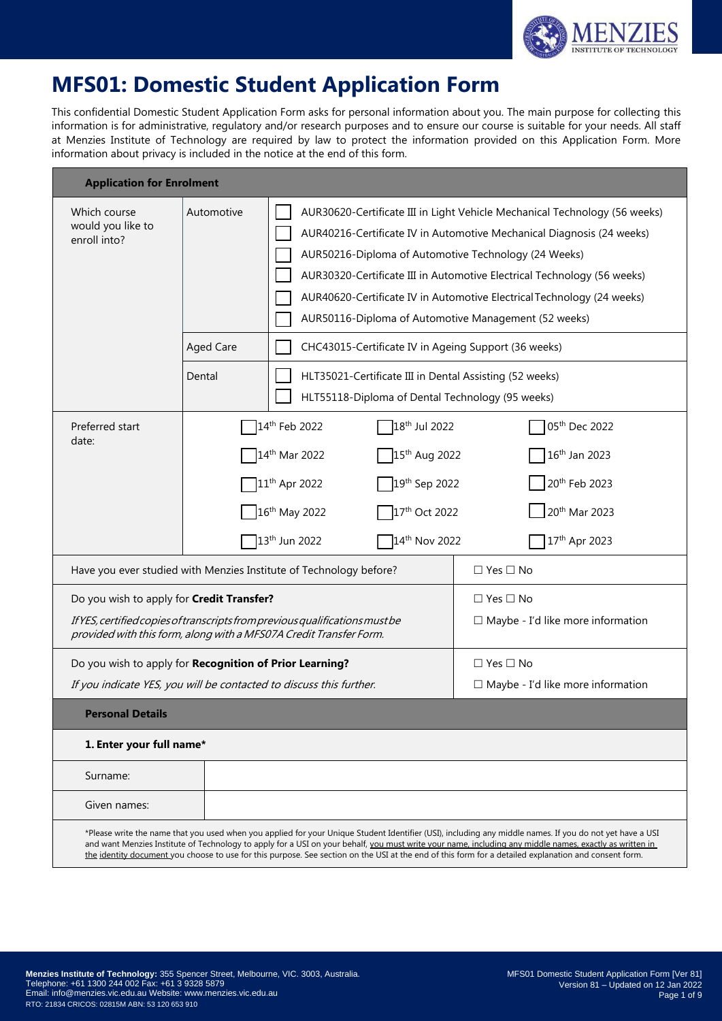

# **MFS01: Domestic Student Application Form**

This confidential Domestic Student Application Form asks for personal information about you. The main purpose for collecting this information is for administrative, regulatory and/or research purposes and to ensure our course is suitable for your needs. All staff at Menzies Institute of Technology are required by law to protect the information provided on this Application Form. More information about privacy is included in the notice at the end of this form.

| <b>Application for Enrolment</b>                                                                                                                                                                                                                                    |                                                                                 |                                                                                                                                                                                                                                                                                         |                                                                                                                                                                                                                                                                                                                                                                                                                                                                              |  |  |  |  |
|---------------------------------------------------------------------------------------------------------------------------------------------------------------------------------------------------------------------------------------------------------------------|---------------------------------------------------------------------------------|-----------------------------------------------------------------------------------------------------------------------------------------------------------------------------------------------------------------------------------------------------------------------------------------|------------------------------------------------------------------------------------------------------------------------------------------------------------------------------------------------------------------------------------------------------------------------------------------------------------------------------------------------------------------------------------------------------------------------------------------------------------------------------|--|--|--|--|
| Which course<br>would you like to<br>enroll into?                                                                                                                                                                                                                   | Automotive<br><b>Aged Care</b><br>Dental                                        | AUR50216-Diploma of Automotive Technology (24 Weeks)<br>AUR50116-Diploma of Automotive Management (52 weeks)<br>CHC43015-Certificate IV in Ageing Support (36 weeks)<br>HLT35021-Certificate III in Dental Assisting (52 weeks)<br>HLT55118-Diploma of Dental Technology (95 weeks)     | AUR30620-Certificate III in Light Vehicle Mechanical Technology (56 weeks)<br>AUR40216-Certificate IV in Automotive Mechanical Diagnosis (24 weeks)<br>AUR30320-Certificate III in Automotive Electrical Technology (56 weeks)<br>AUR40620-Certificate IV in Automotive Electrical Technology (24 weeks)                                                                                                                                                                     |  |  |  |  |
| Preferred start<br>date:                                                                                                                                                                                                                                            |                                                                                 | 18 <sup>th</sup> Jul 2022<br>14 <sup>th</sup> Feb 2022<br>15 <sup>th</sup> Aug 2022<br>14 <sup>th</sup> Mar 2022<br>19 <sup>th</sup> Sep 2022<br>$11^{th}$ Apr 2022<br>16 <sup>th</sup> May 2022<br>17 <sup>th</sup> Oct 2022<br>13 <sup>th</sup> Jun 2022<br>14 <sup>th</sup> Nov 2022 | 05th Dec 2022<br>16 <sup>th</sup> Jan 2023<br>20 <sup>th</sup> Feb 2023<br>20 <sup>th</sup> Mar 2023<br>17th Apr 2023                                                                                                                                                                                                                                                                                                                                                        |  |  |  |  |
| $\Box$ Yes $\Box$ No<br>Have you ever studied with Menzies Institute of Technology before?                                                                                                                                                                          |                                                                                 |                                                                                                                                                                                                                                                                                         |                                                                                                                                                                                                                                                                                                                                                                                                                                                                              |  |  |  |  |
| $\Box$ Yes $\Box$ No<br>Do you wish to apply for Credit Transfer?<br>If YES, certified copies of transcripts from previous qualifications must be<br>$\Box$ Maybe - I'd like more information<br>provided with this form, along with a MFS07A Credit Transfer Form. |                                                                                 |                                                                                                                                                                                                                                                                                         |                                                                                                                                                                                                                                                                                                                                                                                                                                                                              |  |  |  |  |
|                                                                                                                                                                                                                                                                     | Do you wish to apply for Recognition of Prior Learning?<br>$\Box$ Yes $\Box$ No |                                                                                                                                                                                                                                                                                         |                                                                                                                                                                                                                                                                                                                                                                                                                                                                              |  |  |  |  |
| If you indicate YES, you will be contacted to discuss this further.                                                                                                                                                                                                 |                                                                                 |                                                                                                                                                                                                                                                                                         | $\Box$ Maybe - I'd like more information                                                                                                                                                                                                                                                                                                                                                                                                                                     |  |  |  |  |
| <b>Personal Details</b>                                                                                                                                                                                                                                             |                                                                                 |                                                                                                                                                                                                                                                                                         |                                                                                                                                                                                                                                                                                                                                                                                                                                                                              |  |  |  |  |
| 1. Enter your full name*                                                                                                                                                                                                                                            |                                                                                 |                                                                                                                                                                                                                                                                                         |                                                                                                                                                                                                                                                                                                                                                                                                                                                                              |  |  |  |  |
| Surname:                                                                                                                                                                                                                                                            |                                                                                 |                                                                                                                                                                                                                                                                                         |                                                                                                                                                                                                                                                                                                                                                                                                                                                                              |  |  |  |  |
| Given names:                                                                                                                                                                                                                                                        |                                                                                 |                                                                                                                                                                                                                                                                                         |                                                                                                                                                                                                                                                                                                                                                                                                                                                                              |  |  |  |  |
|                                                                                                                                                                                                                                                                     |                                                                                 |                                                                                                                                                                                                                                                                                         | *Please write the name that you used when you applied for your Unique Student Identifier (USI), including any middle names. If you do not yet have a USI<br>and want Menzies Institute of Technology to apply for a USI on your behalf, you must write your name, including any middle names, exactly as written in<br>the identity document you choose to use for this purpose. See section on the USI at the end of this form for a detailed explanation and consent form. |  |  |  |  |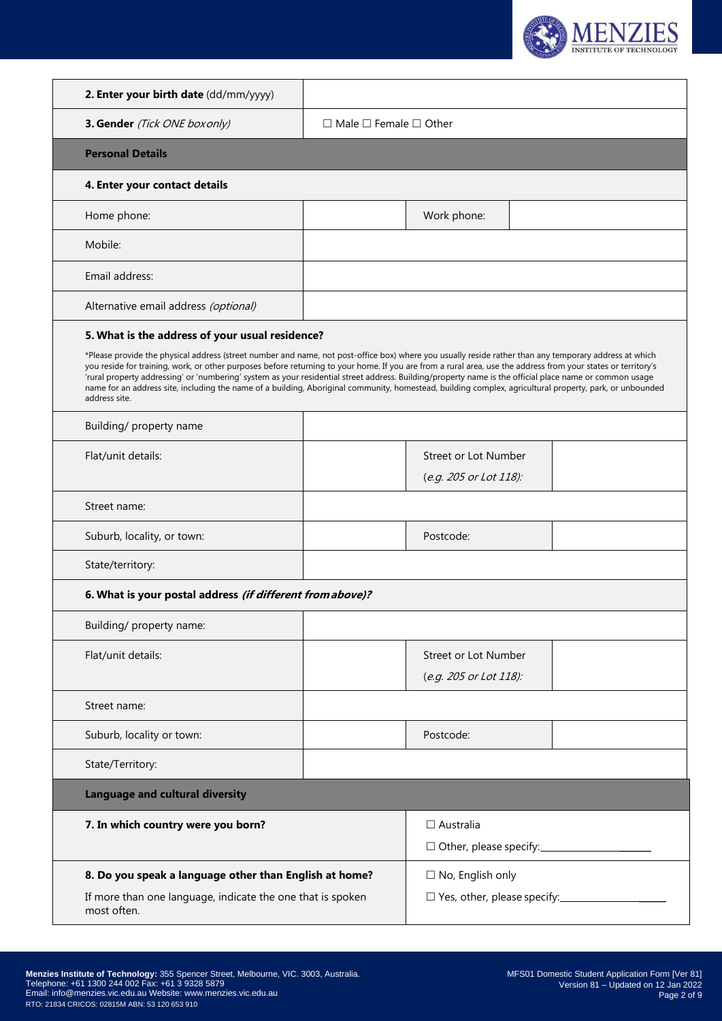

| 3. Gender (Tick ONE box only)                                    | $\Box$ Male $\Box$ Female $\Box$ Other                                                                                                                                                                                                                                                                                                                                                                                                                                                                                                                                                                                                         |  |  |  |  |
|------------------------------------------------------------------|------------------------------------------------------------------------------------------------------------------------------------------------------------------------------------------------------------------------------------------------------------------------------------------------------------------------------------------------------------------------------------------------------------------------------------------------------------------------------------------------------------------------------------------------------------------------------------------------------------------------------------------------|--|--|--|--|
| <b>Personal Details</b>                                          |                                                                                                                                                                                                                                                                                                                                                                                                                                                                                                                                                                                                                                                |  |  |  |  |
| 4. Enter your contact details                                    |                                                                                                                                                                                                                                                                                                                                                                                                                                                                                                                                                                                                                                                |  |  |  |  |
| Home phone:                                                      | Work phone:                                                                                                                                                                                                                                                                                                                                                                                                                                                                                                                                                                                                                                    |  |  |  |  |
| Mobile:                                                          |                                                                                                                                                                                                                                                                                                                                                                                                                                                                                                                                                                                                                                                |  |  |  |  |
| Email address:                                                   |                                                                                                                                                                                                                                                                                                                                                                                                                                                                                                                                                                                                                                                |  |  |  |  |
| Alternative email address (optional)                             |                                                                                                                                                                                                                                                                                                                                                                                                                                                                                                                                                                                                                                                |  |  |  |  |
| 5. What is the address of your usual residence?<br>address site. | *Please provide the physical address (street number and name, not post-office box) where you usually reside rather than any temporary address at which<br>you reside for training, work, or other purposes before returning to your home. If you are from a rural area, use the address from your states or territory's<br>'rural property addressing' or 'numbering' system as your residential street address. Building/property name is the official place name or common usage<br>name for an address site, including the name of a building, Aboriginal community, homestead, building complex, agricultural property, park, or unbounded |  |  |  |  |
| Building/ property name                                          |                                                                                                                                                                                                                                                                                                                                                                                                                                                                                                                                                                                                                                                |  |  |  |  |
| Flat/unit details:                                               | Street or Lot Number<br>(e.g. 205 or Lot 118):                                                                                                                                                                                                                                                                                                                                                                                                                                                                                                                                                                                                 |  |  |  |  |
| Street name:                                                     |                                                                                                                                                                                                                                                                                                                                                                                                                                                                                                                                                                                                                                                |  |  |  |  |
| Suburb, locality, or town:                                       | Postcode:                                                                                                                                                                                                                                                                                                                                                                                                                                                                                                                                                                                                                                      |  |  |  |  |
| State/territory:                                                 |                                                                                                                                                                                                                                                                                                                                                                                                                                                                                                                                                                                                                                                |  |  |  |  |
| 6. What is your postal address (if different from above)?        |                                                                                                                                                                                                                                                                                                                                                                                                                                                                                                                                                                                                                                                |  |  |  |  |
| Building/ property name:                                         |                                                                                                                                                                                                                                                                                                                                                                                                                                                                                                                                                                                                                                                |  |  |  |  |
| Flat/unit details:                                               | Street or Lot Number<br>(e.g. 205 or Lot 118):                                                                                                                                                                                                                                                                                                                                                                                                                                                                                                                                                                                                 |  |  |  |  |
| Street name:                                                     |                                                                                                                                                                                                                                                                                                                                                                                                                                                                                                                                                                                                                                                |  |  |  |  |
| Suburb, locality or town:                                        | Postcode:                                                                                                                                                                                                                                                                                                                                                                                                                                                                                                                                                                                                                                      |  |  |  |  |
| State/Territory:                                                 |                                                                                                                                                                                                                                                                                                                                                                                                                                                                                                                                                                                                                                                |  |  |  |  |
| <b>Language and cultural diversity</b>                           |                                                                                                                                                                                                                                                                                                                                                                                                                                                                                                                                                                                                                                                |  |  |  |  |
| 7. In which country were you born?                               | $\Box$ Australia<br>Other, please specify: 1999                                                                                                                                                                                                                                                                                                                                                                                                                                                                                                                                                                                                |  |  |  |  |
| 8. Do you speak a language other than English at home?           | $\Box$ No, English only                                                                                                                                                                                                                                                                                                                                                                                                                                                                                                                                                                                                                        |  |  |  |  |
|                                                                  |                                                                                                                                                                                                                                                                                                                                                                                                                                                                                                                                                                                                                                                |  |  |  |  |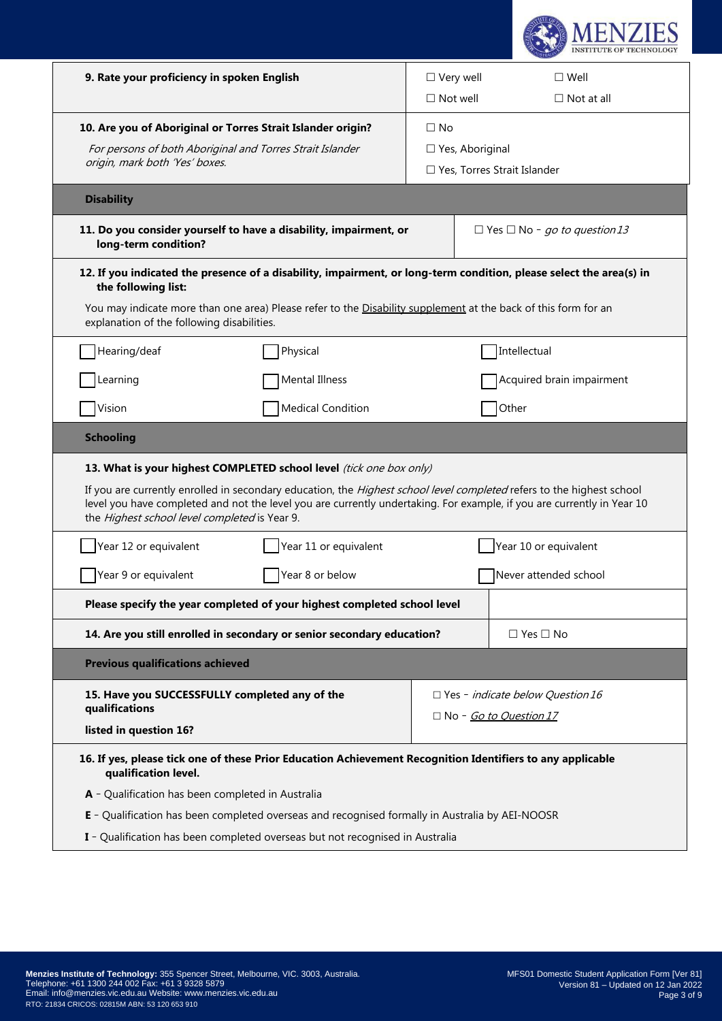

| 9. Rate your proficiency in spoken English                       |                                                                                                                                                                                                                                                                                                                        | $\Box$ Very well |                        | $\square$ Well                           |
|------------------------------------------------------------------|------------------------------------------------------------------------------------------------------------------------------------------------------------------------------------------------------------------------------------------------------------------------------------------------------------------------|------------------|------------------------|------------------------------------------|
|                                                                  |                                                                                                                                                                                                                                                                                                                        | $\Box$ Not well  |                        | $\Box$ Not at all                        |
| 10. Are you of Aboriginal or Torres Strait Islander origin?      |                                                                                                                                                                                                                                                                                                                        | $\Box$ No        |                        |                                          |
| For persons of both Aboriginal and Torres Strait Islander        |                                                                                                                                                                                                                                                                                                                        |                  | $\Box$ Yes, Aboriginal |                                          |
| origin, mark both 'Yes' boxes.                                   |                                                                                                                                                                                                                                                                                                                        |                  |                        | $\Box$ Yes, Torres Strait Islander       |
| <b>Disability</b>                                                |                                                                                                                                                                                                                                                                                                                        |                  |                        |                                          |
| long-term condition?                                             | 11. Do you consider yourself to have a disability, impairment, or                                                                                                                                                                                                                                                      |                  |                        | $\Box$ Yes $\Box$ No - go to question 13 |
| the following list:                                              | 12. If you indicated the presence of a disability, impairment, or long-term condition, please select the area(s) in                                                                                                                                                                                                    |                  |                        |                                          |
| explanation of the following disabilities.                       | You may indicate more than one area) Please refer to the Disability supplement at the back of this form for an                                                                                                                                                                                                         |                  |                        |                                          |
| Hearing/deaf                                                     | Physical                                                                                                                                                                                                                                                                                                               |                  |                        | Intellectual                             |
| Learning                                                         | Mental Illness                                                                                                                                                                                                                                                                                                         |                  |                        | Acquired brain impairment                |
| Vision                                                           | <b>Medical Condition</b>                                                                                                                                                                                                                                                                                               |                  |                        | Other                                    |
| <b>Schooling</b>                                                 |                                                                                                                                                                                                                                                                                                                        |                  |                        |                                          |
| the Highest school level completed is Year 9.                    | 13. What is your highest COMPLETED school level (tick one box only)<br>If you are currently enrolled in secondary education, the Highest school level completed refers to the highest school<br>level you have completed and not the level you are currently undertaking. For example, if you are currently in Year 10 |                  |                        |                                          |
| Year 12 or equivalent                                            | Year 11 or equivalent                                                                                                                                                                                                                                                                                                  |                  |                        | Year 10 or equivalent                    |
| Year 9 or equivalent                                             | Year 8 or below                                                                                                                                                                                                                                                                                                        |                  |                        | Never attended school                    |
|                                                                  | Please specify the year completed of your highest completed school level                                                                                                                                                                                                                                               |                  |                        |                                          |
|                                                                  | 14. Are you still enrolled in secondary or senior secondary education?                                                                                                                                                                                                                                                 |                  |                        | $\Box$ Yes $\Box$ No                     |
| <b>Previous qualifications achieved</b>                          |                                                                                                                                                                                                                                                                                                                        |                  |                        |                                          |
| 15. Have you SUCCESSFULLY completed any of the<br>qualifications |                                                                                                                                                                                                                                                                                                                        |                  |                        | $\Box$ Yes - indicate below Question 16  |
| listed in question 16?                                           |                                                                                                                                                                                                                                                                                                                        |                  |                        | □ No - Go to Question 17                 |
| qualification level.                                             | 16. If yes, please tick one of these Prior Education Achievement Recognition Identifiers to any applicable                                                                                                                                                                                                             |                  |                        |                                          |
| A - Qualification has been completed in Australia                |                                                                                                                                                                                                                                                                                                                        |                  |                        |                                          |
|                                                                  | E - Qualification has been completed overseas and recognised formally in Australia by AEI-NOOSR                                                                                                                                                                                                                        |                  |                        |                                          |
|                                                                  | I - Qualification has been completed overseas but not recognised in Australia                                                                                                                                                                                                                                          |                  |                        |                                          |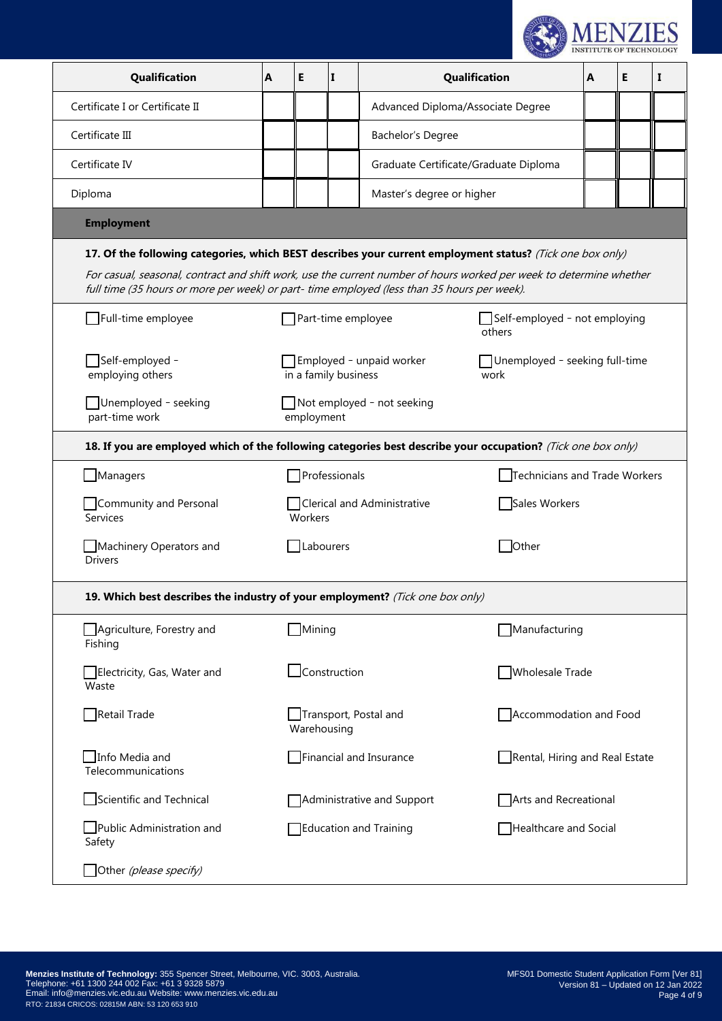

| Qualification                                                                                                                                                                                                                                                                                                                                        | A | E                                                                                          | II.                    | Qualification                         |                                | A | E | 1 |
|------------------------------------------------------------------------------------------------------------------------------------------------------------------------------------------------------------------------------------------------------------------------------------------------------------------------------------------------------|---|--------------------------------------------------------------------------------------------|------------------------|---------------------------------------|--------------------------------|---|---|---|
| Certificate I or Certificate II                                                                                                                                                                                                                                                                                                                      |   |                                                                                            |                        | Advanced Diploma/Associate Degree     |                                |   |   |   |
| Certificate III                                                                                                                                                                                                                                                                                                                                      |   |                                                                                            |                        | Bachelor's Degree                     |                                |   |   |   |
| Certificate IV                                                                                                                                                                                                                                                                                                                                       |   |                                                                                            |                        | Graduate Certificate/Graduate Diploma |                                |   |   |   |
| Diploma                                                                                                                                                                                                                                                                                                                                              |   |                                                                                            |                        | Master's degree or higher             |                                |   |   |   |
| <b>Employment</b>                                                                                                                                                                                                                                                                                                                                    |   |                                                                                            |                        |                                       |                                |   |   |   |
| 17. Of the following categories, which BEST describes your current employment status? (Tick one box only)<br>For casual, seasonal, contract and shift work, use the current number of hours worked per week to determine whether<br>full time (35 hours or more per week) or part-time employed (less than 35 hours per week).<br>Full-time employee |   |                                                                                            |                        | Part-time employee                    | Self-employed - not employing  |   |   |   |
|                                                                                                                                                                                                                                                                                                                                                      |   |                                                                                            |                        |                                       | others                         |   |   |   |
| - Self-employed[<br>employing others                                                                                                                                                                                                                                                                                                                 |   | Employed - unpaid worker<br>Unemployed - seeking full-time<br>in a family business<br>work |                        |                                       |                                |   |   |   |
| Unemployed - seeking<br>Not employed - not seeking<br>part-time work<br>employment                                                                                                                                                                                                                                                                   |   |                                                                                            |                        |                                       |                                |   |   |   |
| 18. If you are employed which of the following categories best describe your occupation? (Tick one box only)                                                                                                                                                                                                                                         |   |                                                                                            |                        |                                       |                                |   |   |   |
| $\Box$ Managers                                                                                                                                                                                                                                                                                                                                      |   |                                                                                            | Professionals          |                                       | Technicians and Trade Workers  |   |   |   |
| Community and Personal<br><b>Services</b>                                                                                                                                                                                                                                                                                                            |   | Workers                                                                                    |                        | Clerical and Administrative           | Sales Workers                  |   |   |   |
| Machinery Operators and<br><b>Drivers</b>                                                                                                                                                                                                                                                                                                            |   | $\Box$ Labourers                                                                           |                        |                                       | Other                          |   |   |   |
| 19. Which best describes the industry of your employment? (Tick one box only)                                                                                                                                                                                                                                                                        |   |                                                                                            |                        |                                       |                                |   |   |   |
| Agriculture, Forestry and<br>Fishing                                                                                                                                                                                                                                                                                                                 |   | $\sqrt{\frac{1}{1}}$ Mining                                                                |                        |                                       | Manufacturing                  |   |   |   |
| Electricity, Gas, Water and<br>Waste                                                                                                                                                                                                                                                                                                                 |   |                                                                                            | $\exists$ Construction |                                       | Wholesale Trade                |   |   |   |
| Retail Trade                                                                                                                                                                                                                                                                                                                                         |   | Warehousing                                                                                |                        | Transport, Postal and                 | Accommodation and Food         |   |   |   |
| Info Media and<br>Telecommunications                                                                                                                                                                                                                                                                                                                 |   |                                                                                            |                        | Financial and Insurance               | Rental, Hiring and Real Estate |   |   |   |
| Scientific and Technical                                                                                                                                                                                                                                                                                                                             |   |                                                                                            |                        | Administrative and Support            | Arts and Recreational          |   |   |   |
| Public Administration and<br>Safety                                                                                                                                                                                                                                                                                                                  |   |                                                                                            |                        | <b>Education and Training</b>         | Healthcare and Social          |   |   |   |
| Other (please specify)                                                                                                                                                                                                                                                                                                                               |   |                                                                                            |                        |                                       |                                |   |   |   |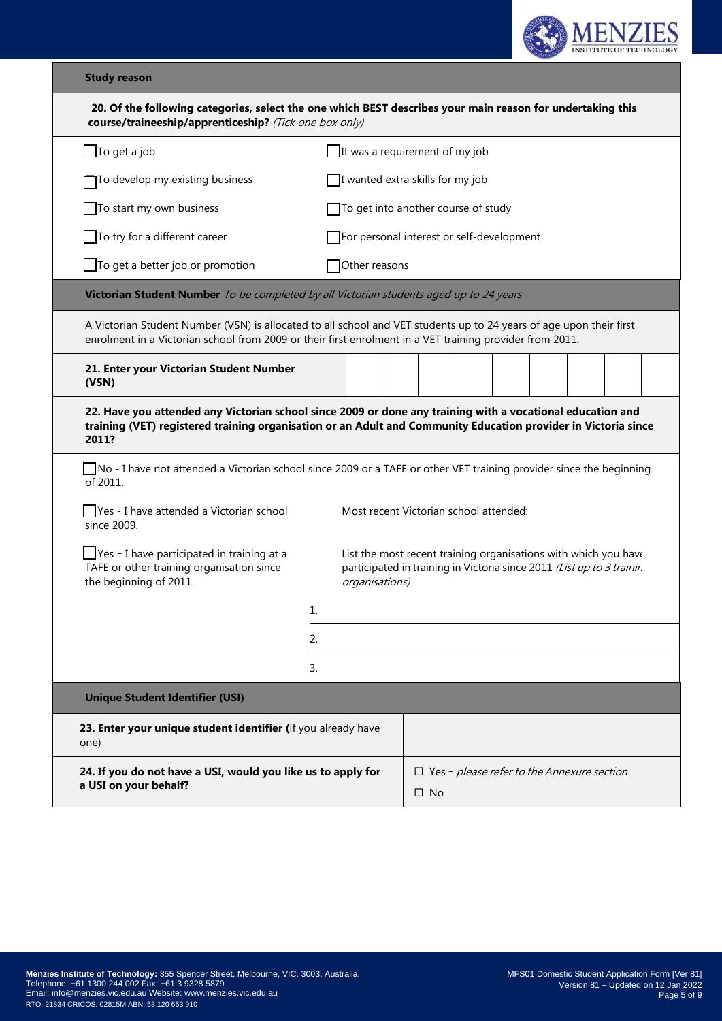

# **Study reason**

| 20. Of the following categories, select the one which BEST describes your main reason for undertaking this<br>course/traineeship/apprenticeship? (Tick one box only)                                                                                                                   |                                           |                                                                   |  |  |  |  |  |  |
|----------------------------------------------------------------------------------------------------------------------------------------------------------------------------------------------------------------------------------------------------------------------------------------|-------------------------------------------|-------------------------------------------------------------------|--|--|--|--|--|--|
| $\Box$ To get a job                                                                                                                                                                                                                                                                    | It was a requirement of my job            |                                                                   |  |  |  |  |  |  |
| To develop my existing business                                                                                                                                                                                                                                                        |                                           | I wanted extra skills for my job                                  |  |  |  |  |  |  |
| To start my own business                                                                                                                                                                                                                                                               | To get into another course of study       |                                                                   |  |  |  |  |  |  |
| To try for a different career                                                                                                                                                                                                                                                          | For personal interest or self-development |                                                                   |  |  |  |  |  |  |
| $\Box$ To get a better job or promotion                                                                                                                                                                                                                                                | Other reasons                             |                                                                   |  |  |  |  |  |  |
| Victorian Student Number To be completed by all Victorian students aged up to 24 years                                                                                                                                                                                                 |                                           |                                                                   |  |  |  |  |  |  |
| A Victorian Student Number (VSN) is allocated to all school and VET students up to 24 years of age upon their first<br>enrolment in a Victorian school from 2009 or their first enrolment in a VET training provider from 2011.                                                        |                                           |                                                                   |  |  |  |  |  |  |
| 21. Enter your Victorian Student Number<br>(VSN)                                                                                                                                                                                                                                       |                                           |                                                                   |  |  |  |  |  |  |
| 22. Have you attended any Victorian school since 2009 or done any training with a vocational education and<br>training (VET) registered training organisation or an Adult and Community Education provider in Victoria since<br>2011?                                                  |                                           |                                                                   |  |  |  |  |  |  |
| No - I have not attended a Victorian school since 2009 or a TAFE or other VET training provider since the beginning<br>of 2011.                                                                                                                                                        |                                           |                                                                   |  |  |  |  |  |  |
| Yes - I have attended a Victorian school<br>since 2009.                                                                                                                                                                                                                                | Most recent Victorian school attended:    |                                                                   |  |  |  |  |  |  |
| $\Box$ Yes - I have participated in training at a<br>List the most recent training organisations with which you have<br>TAFE or other training organisation since<br>participated in training in Victoria since 2011 (List up to 3 training<br>the beginning of 2011<br>organisations) |                                           |                                                                   |  |  |  |  |  |  |
|                                                                                                                                                                                                                                                                                        | 1.                                        |                                                                   |  |  |  |  |  |  |
|                                                                                                                                                                                                                                                                                        | 2.                                        |                                                                   |  |  |  |  |  |  |
|                                                                                                                                                                                                                                                                                        | 3.                                        |                                                                   |  |  |  |  |  |  |
| <b>Unique Student Identifier (USI)</b>                                                                                                                                                                                                                                                 |                                           |                                                                   |  |  |  |  |  |  |
| 23. Enter your unique student identifier (if you already have<br>one)                                                                                                                                                                                                                  |                                           |                                                                   |  |  |  |  |  |  |
| 24. If you do not have a USI, would you like us to apply for<br>a USI on your behalf?                                                                                                                                                                                                  |                                           | $\Box$ Yes - please refer to the Annexure section<br>$\square$ No |  |  |  |  |  |  |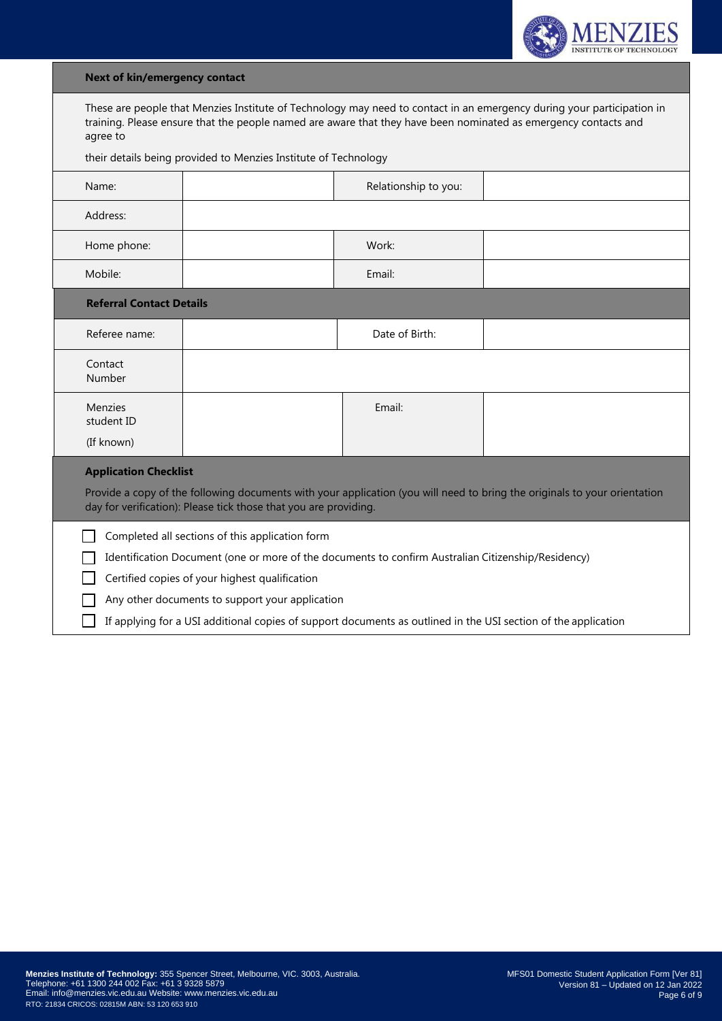

# **Next of kin/emergency contact**

| These are people that Menzies Institute of Technology may need to contact in an emergency during your participation in |
|------------------------------------------------------------------------------------------------------------------------|
| training. Please ensure that the people named are aware that they have been nominated as emergency contacts and        |
| agree to                                                                                                               |

their details being provided to Menzies Institute of Technology

| Name:                                                                                                                                                                                                                                                                                                                                                                        |  | Relationship to you: |  |  |  |  |  |
|------------------------------------------------------------------------------------------------------------------------------------------------------------------------------------------------------------------------------------------------------------------------------------------------------------------------------------------------------------------------------|--|----------------------|--|--|--|--|--|
| Address:                                                                                                                                                                                                                                                                                                                                                                     |  |                      |  |  |  |  |  |
| Home phone:                                                                                                                                                                                                                                                                                                                                                                  |  | Work:                |  |  |  |  |  |
| Mobile:                                                                                                                                                                                                                                                                                                                                                                      |  | Email:               |  |  |  |  |  |
| <b>Referral Contact Details</b>                                                                                                                                                                                                                                                                                                                                              |  |                      |  |  |  |  |  |
| Referee name:                                                                                                                                                                                                                                                                                                                                                                |  | Date of Birth:       |  |  |  |  |  |
| Contact<br>Number                                                                                                                                                                                                                                                                                                                                                            |  |                      |  |  |  |  |  |
| Menzies<br>student ID<br>(If known)                                                                                                                                                                                                                                                                                                                                          |  | Email:               |  |  |  |  |  |
| <b>Application Checklist</b><br>Provide a copy of the following documents with your application (you will need to bring the originals to your orientation<br>day for verification): Please tick those that you are providing.                                                                                                                                                |  |                      |  |  |  |  |  |
| Completed all sections of this application form<br>Identification Document (one or more of the documents to confirm Australian Citizenship/Residency)<br>Certified copies of your highest qualification<br>Any other documents to support your application<br>If applying for a USI additional copies of support documents as outlined in the USI section of the application |  |                      |  |  |  |  |  |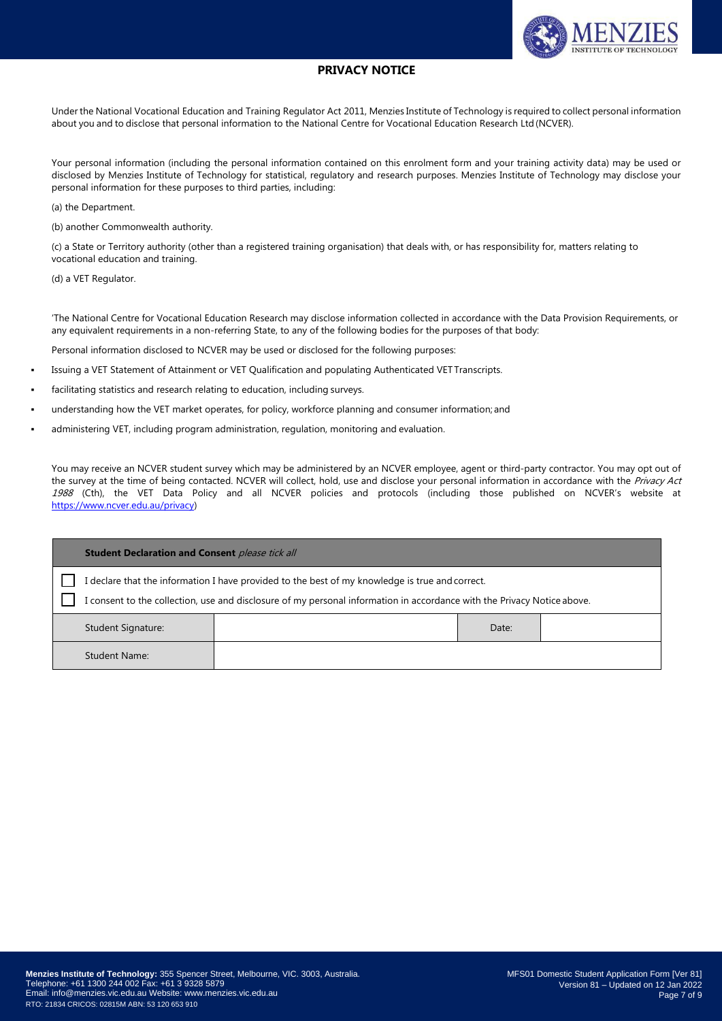

## **PRIVACY NOTICE**

Under the National Vocational Education and Training Regulator Act 2011, Menzies Institute of Technology is required to collect personal information about you and to disclose that personal information to the National Centre for Vocational Education Research Ltd (NCVER).

Your personal information (including the personal information contained on this enrolment form and your training activity data) may be used or disclosed by Menzies Institute of Technology for statistical, regulatory and research purposes. Menzies Institute of Technology may disclose your personal information for these purposes to third parties, including:

(a) the Department.

(b) another Commonwealth authority.

(c) a State or Territory authority (other than a registered training organisation) that deals with, or has responsibility for, matters relating to vocational education and training.

(d) a VET Regulator.

'The National Centre for Vocational Education Research may disclose information collected in accordance with the Data Provision Requirements, or any equivalent requirements in a non-referring State, to any of the following bodies for the purposes of that body:

Personal information disclosed to NCVER may be used or disclosed for the following purposes:

- Issuing a VET Statement of Attainment or VET Qualification and populating Authenticated VET Transcripts.
- facilitating statistics and research relating to education, including surveys.
- understanding how the VET market operates, for policy, workforce planning and consumer information; and
- administering VET, including program administration, regulation, monitoring and evaluation.

You may receive an NCVER student survey which may be administered by an NCVER employee, agent or third-party contractor. You may opt out of the survey at the time of being contacted. NCVER will collect, hold, use and disclose your personal information in accordance with the Privacy Act 1988 (Cth), the VET Data Policy and all NCVER policies and protocols (including those published on NCVER's website at https://www.ncver.edu.au/privacy)

| <b>Student Declaration and Consent</b> please tick all                                                                                                                                                                     |  |       |  |  |  |
|----------------------------------------------------------------------------------------------------------------------------------------------------------------------------------------------------------------------------|--|-------|--|--|--|
| I declare that the information I have provided to the best of my knowledge is true and correct.<br>I consent to the collection, use and disclosure of my personal information in accordance with the Privacy Notice above. |  |       |  |  |  |
| Student Signature:                                                                                                                                                                                                         |  | Date: |  |  |  |
| <b>Student Name:</b>                                                                                                                                                                                                       |  |       |  |  |  |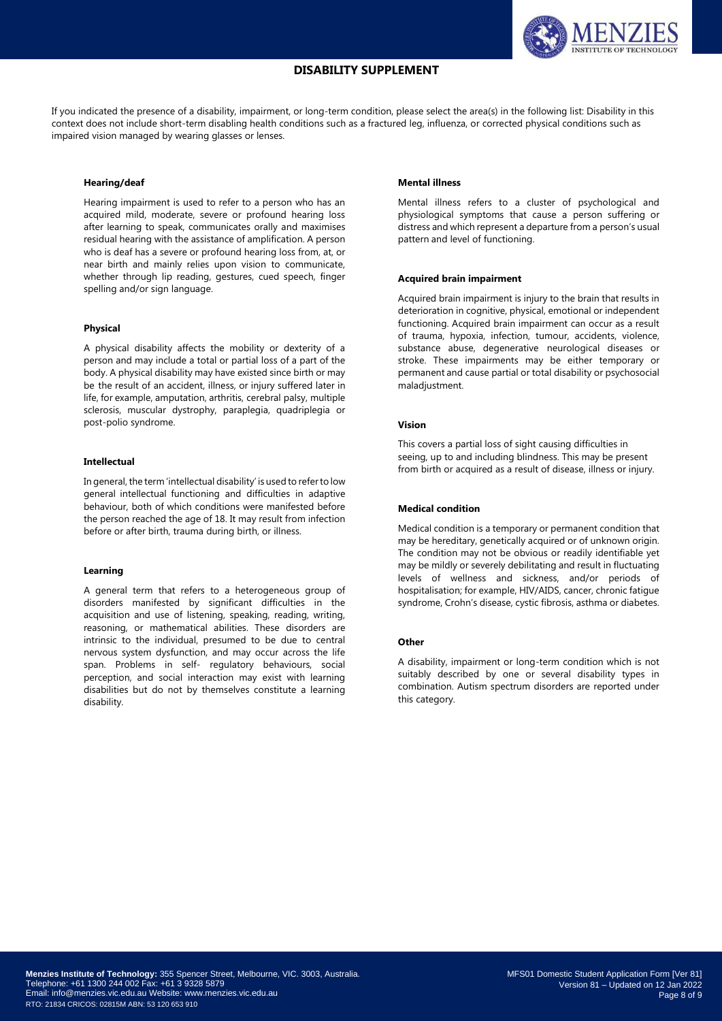## **DISABILITY SUPPLEMENT**



If you indicated the presence of a disability, impairment, or long-term condition, please select the area(s) in the following list: Disability in this context does not include short-term disabling health conditions such as a fractured leg, influenza, or corrected physical conditions such as impaired vision managed by wearing glasses or lenses.

#### **Hearing/deaf**

Hearing impairment is used to refer to a person who has an acquired mild, moderate, severe or profound hearing loss after learning to speak, communicates orally and maximises residual hearing with the assistance of amplification. A person who is deaf has a severe or profound hearing loss from, at, or near birth and mainly relies upon vision to communicate, whether through lip reading, gestures, cued speech, finger spelling and/or sign language.

#### **Physical**

A physical disability affects the mobility or dexterity of a person and may include a total or partial loss of a part of the body. A physical disability may have existed since birth or may be the result of an accident, illness, or injury suffered later in life, for example, amputation, arthritis, cerebral palsy, multiple sclerosis, muscular dystrophy, paraplegia, quadriplegia or post-polio syndrome.

#### **Intellectual**

In general, the term 'intellectual disability' is used to referto low general intellectual functioning and difficulties in adaptive behaviour, both of which conditions were manifested before the person reached the age of 18. It may result from infection before or after birth, trauma during birth, or illness.

#### **Learning**

A general term that refers to a heterogeneous group of disorders manifested by significant difficulties in the acquisition and use of listening, speaking, reading, writing, reasoning, or mathematical abilities. These disorders are intrinsic to the individual, presumed to be due to central nervous system dysfunction, and may occur across the life span. Problems in self- regulatory behaviours, social perception, and social interaction may exist with learning disabilities but do not by themselves constitute a learning disability.

## **Mental illness**

Mental illness refers to a cluster of psychological and physiological symptoms that cause a person suffering or distress and which represent a departure from a person's usual pattern and level of functioning.

#### **Acquired brain impairment**

Acquired brain impairment is injury to the brain that results in deterioration in cognitive, physical, emotional or independent functioning. Acquired brain impairment can occur as a result of trauma, hypoxia, infection, tumour, accidents, violence, substance abuse, degenerative neurological diseases or stroke. These impairments may be either temporary or permanent and cause partial or total disability or psychosocial maladjustment.

### **Vision**

This covers a partial loss of sight causing difficulties in seeing, up to and including blindness. This may be present from birth or acquired as a result of disease, illness or injury.

## **Medical condition**

Medical condition is a temporary or permanent condition that may be hereditary, genetically acquired or of unknown origin. The condition may not be obvious or readily identifiable yet may be mildly or severely debilitating and result in fluctuating levels of wellness and sickness, and/or periods of hospitalisation; for example, HIV/AIDS, cancer, chronic fatigue syndrome, Crohn's disease, cystic fibrosis, asthma or diabetes.

#### **Other**

A disability, impairment or long-term condition which is not suitably described by one or several disability types in combination. Autism spectrum disorders are reported under this category.